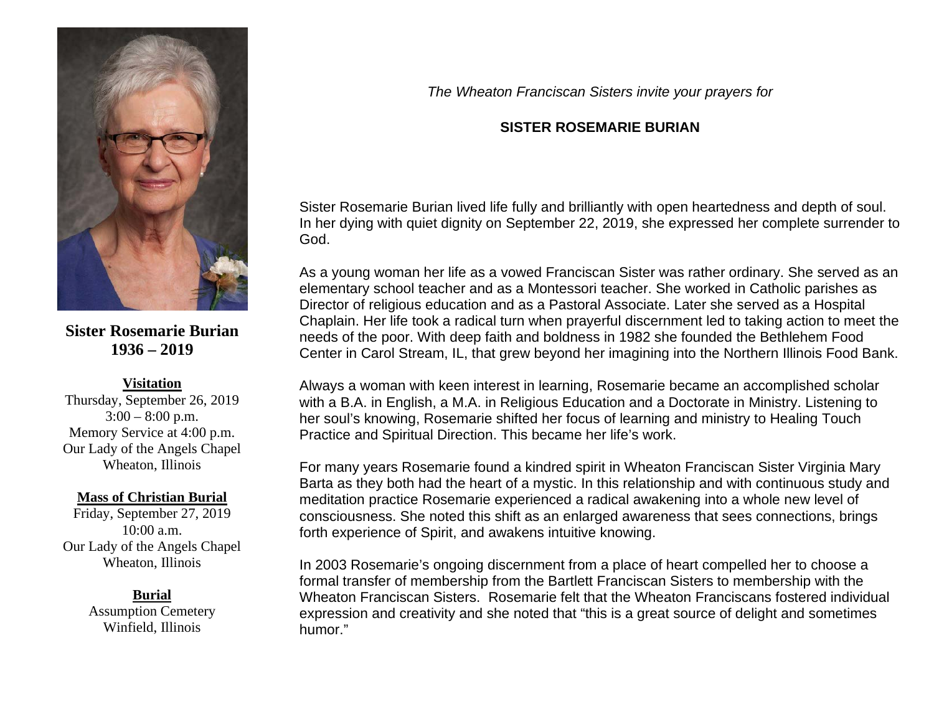

**Sister Rosemarie Burian 1936 – 2019**

## **Visitation**

Thursday, September 26, 2019  $3:00 - 8:00$  p.m. Memory Service at 4:00 p.m. Our Lady of the Angels Chapel Wheaton, Illinois

## **Mass of Christian Burial**

Friday, September 27, 2019 10:00 a.m. Our Lady of the Angels Chapel Wheaton, Illinois

## **Burial**

Assumption Cemetery Winfield, Illinois

*The Wheaton Franciscan Sisters invite your prayers for*

## **SISTER ROSEMARIE BURIAN**

Sister Rosemarie Burian lived life fully and brilliantly with open heartedness and depth of soul. In her dying with quiet dignity on September 22, 2019, she expressed her complete surrender to God.

As a young woman her life as a vowed Franciscan Sister was rather ordinary. She served as an elementary school teacher and as a Montessori teacher. She worked in Catholic parishes as Director of religious education and as a Pastoral Associate. Later she served as a Hospital Chaplain. Her life took a radical turn when prayerful discernment led to taking action to meet the needs of the poor. With deep faith and boldness in 1982 she founded the Bethlehem Food Center in Carol Stream, IL, that grew beyond her imagining into the Northern Illinois Food Bank.

Always a woman with keen interest in learning, Rosemarie became an accomplished scholar with a B.A. in English, a M.A. in Religious Education and a Doctorate in Ministry. Listening to her soul's knowing, Rosemarie shifted her focus of learning and ministry to Healing Touch Practice and Spiritual Direction. This became her life's work.

For many years Rosemarie found a kindred spirit in Wheaton Franciscan Sister Virginia Mary Barta as they both had the heart of a mystic. In this relationship and with continuous study and meditation practice Rosemarie experienced a radical awakening into a whole new level of consciousness. She noted this shift as an enlarged awareness that sees connections, brings forth experience of Spirit, and awakens intuitive knowing.

In 2003 Rosemarie's ongoing discernment from a place of heart compelled her to choose a formal transfer of membership from the Bartlett Franciscan Sisters to membership with the Wheaton Franciscan Sisters. Rosemarie felt that the Wheaton Franciscans fostered individual expression and creativity and she noted that "this is a great source of delight and sometimes humor."